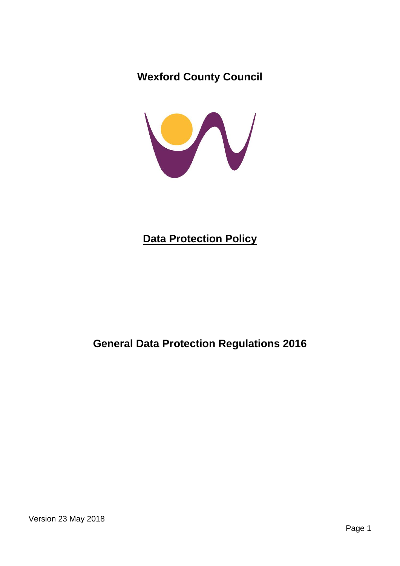**Wexford County Council**



# **Data Protection Policy**

## **General Data Protection Regulations 2016**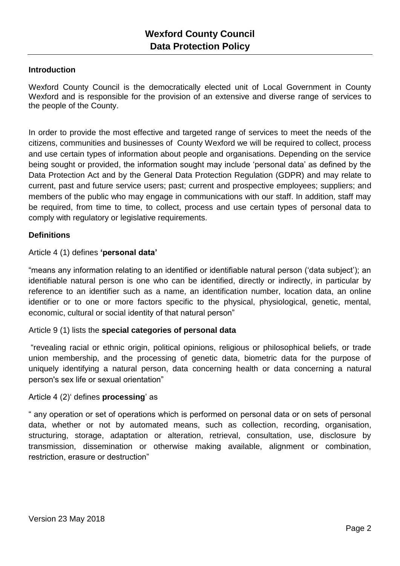#### **Introduction**

Wexford County Council is the democratically elected unit of Local Government in County Wexford and is responsible for the provision of an extensive and diverse range of services to the people of the County.

In order to provide the most effective and targeted range of services to meet the needs of the citizens, communities and businesses of County Wexford we will be required to collect, process and use certain types of information about people and organisations. Depending on the service being sought or provided, the information sought may include 'personal data' as defined by the Data Protection Act and by the General Data Protection Regulation (GDPR) and may relate to current, past and future service users; past; current and prospective employees; suppliers; and members of the public who may engage in communications with our staff. In addition, staff may be required, from time to time, to collect, process and use certain types of personal data to comply with regulatory or legislative requirements.

## **Definitions**

#### Article 4 (1) defines **'personal data'**

"means any information relating to an identified or identifiable natural person ('data subject'); an identifiable natural person is one who can be identified, directly or indirectly, in particular by reference to an identifier such as a name, an identification number, location data, an online identifier or to one or more factors specific to the physical, physiological, genetic, mental, economic, cultural or social identity of that natural person"

#### Article 9 (1) lists the **special categories of personal data**

"revealing racial or ethnic origin, political opinions, religious or philosophical beliefs, or trade union membership, and the processing of genetic data, biometric data for the purpose of uniquely identifying a natural person, data concerning health or data concerning a natural person's sex life or sexual orientation"

#### Article 4 (2)' defines **processing**' as

" any operation or set of operations which is performed on personal data or on sets of personal data, whether or not by automated means, such as collection, recording, organisation, structuring, storage, adaptation or alteration, retrieval, consultation, use, disclosure by transmission, dissemination or otherwise making available, alignment or combination, restriction, erasure or destruction"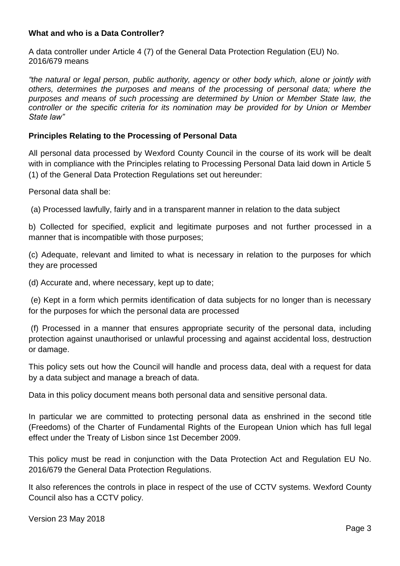#### **What and who is a Data Controller?**

A data controller under Article 4 (7) of the General Data Protection Regulation (EU) No. 2016/679 means

*"the natural or legal person, public authority, agency or other body which, alone or jointly with others, determines the purposes and means of the processing of personal data; where the purposes and means of such processing are determined by Union or Member State law, the controller or the specific criteria for its nomination may be provided for by Union or Member State law"*

#### **Principles Relating to the Processing of Personal Data**

All personal data processed by Wexford County Council in the course of its work will be dealt with in compliance with the Principles relating to Processing Personal Data laid down in Article 5 (1) of the General Data Protection Regulations set out hereunder:

Personal data shall be:

(a) Processed lawfully, fairly and in a transparent manner in relation to the data subject

b) Collected for specified, explicit and legitimate purposes and not further processed in a manner that is incompatible with those purposes;

(c) Adequate, relevant and limited to what is necessary in relation to the purposes for which they are processed

(d) Accurate and, where necessary, kept up to date;

(e) Kept in a form which permits identification of data subjects for no longer than is necessary for the purposes for which the personal data are processed

(f) Processed in a manner that ensures appropriate security of the personal data, including protection against unauthorised or unlawful processing and against accidental loss, destruction or damage.

This policy sets out how the Council will handle and process data, deal with a request for data by a data subject and manage a breach of data.

Data in this policy document means both personal data and sensitive personal data.

In particular we are committed to protecting [personal data](https://en.wikipedia.org/wiki/Personal_data) as enshrined in the second title (Freedoms) of the Charter of Fundamental Rights of the European Union which has full legal effect under the [Treaty of Lisbon](https://en.wikipedia.org/wiki/Treaty_of_Lisbon) since 1st December 2009.

This policy must be read in conjunction with the Data Protection Act and Regulation EU No. 2016/679 the General Data Protection Regulations.

It also references the controls in place in respect of the use of CCTV systems. Wexford County Council also has a CCTV policy.

Version 23 May 2018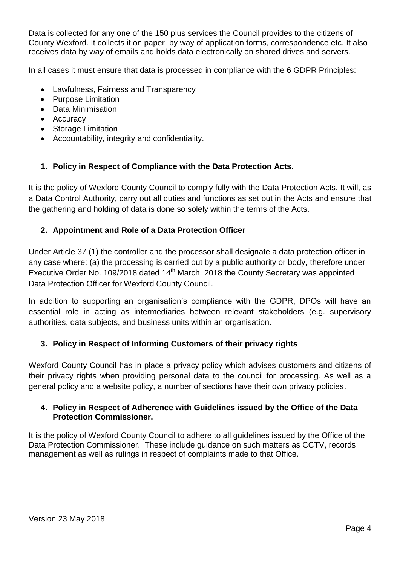Data is collected for any one of the 150 plus services the Council provides to the citizens of County Wexford. It collects it on paper, by way of application forms, correspondence etc. It also receives data by way of emails and holds data electronically on shared drives and servers.

In all cases it must ensure that data is processed in compliance with the 6 GDPR Principles:

- Lawfulness, Fairness and Transparency
- Purpose Limitation
- Data Minimisation
- Accuracy
- Storage Limitation
- Accountability, integrity and confidentiality.

#### **1. Policy in Respect of Compliance with the Data Protection Acts.**

It is the policy of Wexford County Council to comply fully with the Data Protection Acts. It will, as a Data Control Authority, carry out all duties and functions as set out in the Acts and ensure that the gathering and holding of data is done so solely within the terms of the Acts.

#### **2. Appointment and Role of a Data Protection Officer**

Under Article 37 (1) the controller and the processor shall designate a data protection officer in any case where: (a) the processing is carried out by a public authority or body, therefore under Executive Order No. 109/2018 dated  $14<sup>th</sup>$  March, 2018 the County Secretary was appointed Data Protection Officer for Wexford County Council.

In addition to supporting an organisation's compliance with the GDPR, DPOs will have an essential role in acting as intermediaries between relevant stakeholders (e.g. supervisory authorities, data subjects, and business units within an organisation.

## **3. Policy in Respect of Informing Customers of their privacy rights**

Wexford County Council has in place a privacy policy which advises customers and citizens of their privacy rights when providing personal data to the council for processing. As well as a general policy and a website policy, a number of sections have their own privacy policies.

#### **4. Policy in Respect of Adherence with Guidelines issued by the Office of the Data Protection Commissioner.**

It is the policy of Wexford County Council to adhere to all guidelines issued by the Office of the Data Protection Commissioner. These include guidance on such matters as CCTV, records management as well as rulings in respect of complaints made to that Office.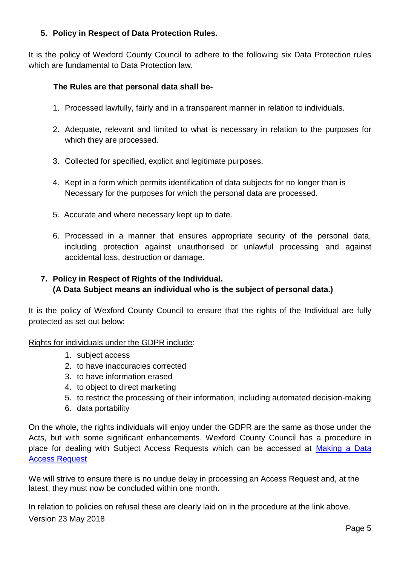## **5. Policy in Respect of Data Protection Rules.**

It is the policy of Wexford County Council to adhere to the following six Data Protection rules which are fundamental to Data Protection law.

### **The Rules are that personal data shall be-**

- 1. Processed lawfully, fairly and in a transparent manner in relation to individuals.
- 2. Adequate, relevant and limited to what is necessary in relation to the purposes for which they are processed.
- 3. Collected for specified, explicit and legitimate purposes.
- 4. Kept in a form which permits identification of data subjects for no longer than is Necessary for the purposes for which the personal data are processed.
- 5. Accurate and where necessary kept up to date.
- 6. Processed in a manner that ensures appropriate security of the personal data, including protection against unauthorised or unlawful processing and against accidental loss, destruction or damage.

## **7. Policy in Respect of Rights of the Individual. (A Data Subject means an individual who is the subject of personal data.)**

It is the policy of Wexford County Council to ensure that the rights of the Individual are fully protected as set out below:

Rights for individuals under the GDPR include:

- 1. subject access
- 2. to have inaccuracies corrected
- 3. to have information erased
- 4. to object to direct marketing
- 5. to restrict the processing of their information, including automated decision-making
- 6. data portability

On the whole, the rights individuals will enjoy under the GDPR are the same as those under the Acts, but with some significant enhancements. Wexford County Council has a procedure in place for dealing with Subject Access Requests which can be accessed at [Making a Data](https://www.wexfordcoco.ie/sites/default/files/content/GDPR/Data-Access-Requests-WCC-18.pdf)  [Access Request](https://www.wexfordcoco.ie/sites/default/files/content/GDPR/Data-Access-Requests-WCC-18.pdf)

We will strive to ensure there is no undue delay in processing an Access Request and, at the latest, they must now be concluded within one month.

Version 23 May 2018 In relation to policies on refusal these are clearly laid on in the procedure at the link above.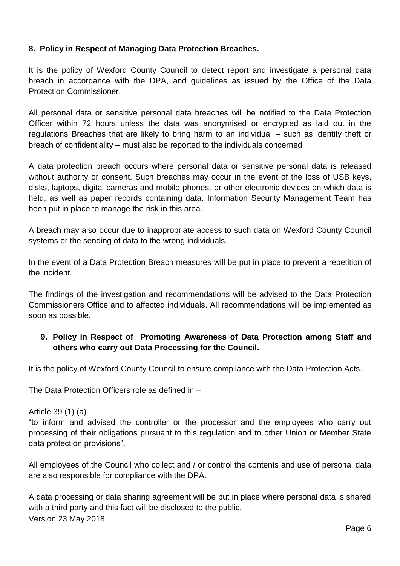## **8. Policy in Respect of Managing Data Protection Breaches.**

It is the policy of Wexford County Council to detect report and investigate a personal data breach in accordance with the DPA, and guidelines as issued by the Office of the Data Protection Commissioner.

All personal data or sensitive personal data breaches will be notified to the Data Protection Officer within 72 hours unless the data was anonymised or encrypted as laid out in the regulations Breaches that are likely to bring harm to an individual – such as identity theft or breach of confidentiality – must also be reported to the individuals concerned

A data protection breach occurs where personal data or sensitive personal data is released without authority or consent. Such breaches may occur in the event of the loss of USB keys, disks, laptops, digital cameras and mobile phones, or other electronic devices on which data is held, as well as paper records containing data. Information Security Management Team has been put in place to manage the risk in this area.

A breach may also occur due to inappropriate access to such data on Wexford County Council systems or the sending of data to the wrong individuals.

In the event of a Data Protection Breach measures will be put in place to prevent a repetition of the incident.

The findings of the investigation and recommendations will be advised to the Data Protection Commissioners Office and to affected individuals. All recommendations will be implemented as soon as possible.

## **9. Policy in Respect of Promoting Awareness of Data Protection among Staff and others who carry out Data Processing for the Council.**

It is the policy of Wexford County Council to ensure compliance with the Data Protection Acts.

The Data Protection Officers role as defined in –

Article 39 (1) (a)

"to inform and advised the controller or the processor and the employees who carry out processing of their obligations pursuant to this regulation and to other Union or Member State data protection provisions".

All employees of the Council who collect and / or control the contents and use of personal data are also responsible for compliance with the DPA.

Version 23 May 2018 A data processing or data sharing agreement will be put in place where personal data is shared with a third party and this fact will be disclosed to the public.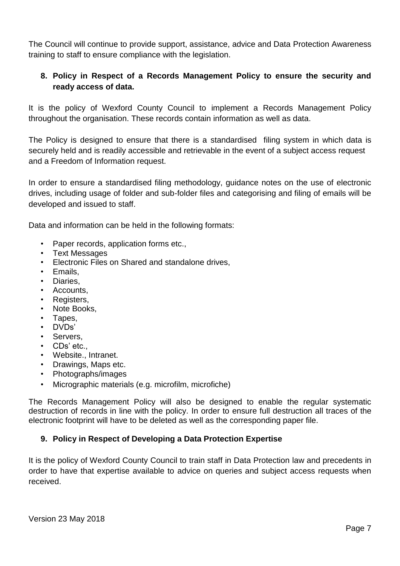The Council will continue to provide support, assistance, advice and Data Protection Awareness training to staff to ensure compliance with the legislation.

## **8. Policy in Respect of a Records Management Policy to ensure the security and ready access of data.**

It is the policy of Wexford County Council to implement a Records Management Policy throughout the organisation. These records contain information as well as data.

The Policy is designed to ensure that there is a standardised filing system in which data is securely held and is readily accessible and retrievable in the event of a subject access request and a Freedom of Information request.

In order to ensure a standardised filing methodology, guidance notes on the use of electronic drives, including usage of folder and sub-folder files and categorising and filing of emails will be developed and issued to staff.

Data and information can be held in the following formats:

- Paper records, application forms etc.,
- Text Messages
- Electronic Files on Shared and standalone drives,
- Emails,
- Diaries,
- Accounts.
- Registers,
- Note Books.
- Tapes,
- DVDs'
- Servers,
- CDs' etc.,
- Website., Intranet.
- Drawings, Maps etc.
- Photographs/images
- Micrographic materials (e.g. microfilm, microfiche)

The Records Management Policy will also be designed to enable the regular systematic destruction of records in line with the policy. In order to ensure full destruction all traces of the electronic footprint will have to be deleted as well as the corresponding paper file.

## **9. Policy in Respect of Developing a Data Protection Expertise**

It is the policy of Wexford County Council to train staff in Data Protection law and precedents in order to have that expertise available to advice on queries and subject access requests when received.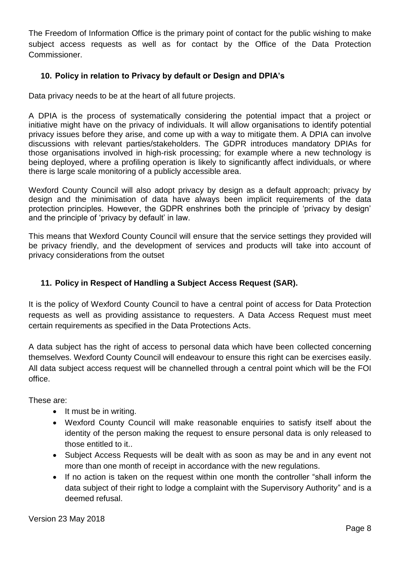The Freedom of Information Office is the primary point of contact for the public wishing to make subject access requests as well as for contact by the Office of the Data Protection Commissioner.

## **10. Policy in relation to Privacy by default or Design and DPIA's**

Data privacy needs to be at the heart of all future projects.

A DPIA is the process of systematically considering the potential impact that a project or initiative might have on the privacy of individuals. It will allow organisations to identify potential privacy issues before they arise, and come up with a way to mitigate them. A DPIA can involve discussions with relevant parties/stakeholders. The GDPR introduces mandatory DPIAs for those organisations involved in high-risk processing; for example where a new technology is being deployed, where a profiling operation is likely to significantly affect individuals, or where there is large scale monitoring of a publicly accessible area.

Wexford County Council will also adopt privacy by design as a default approach; privacy by design and the minimisation of data have always been implicit requirements of the data protection principles. However, the GDPR enshrines both the principle of 'privacy by design' and the principle of 'privacy by default' in law.

This means that Wexford County Council will ensure that the service settings they provided will be privacy friendly, and the development of services and products will take into account of privacy considerations from the outset

## **11. Policy in Respect of Handling a Subject Access Request (SAR).**

It is the policy of Wexford County Council to have a central point of access for Data Protection requests as well as providing assistance to requesters. A Data Access Request must meet certain requirements as specified in the Data Protections Acts.

A data subject has the right of access to personal data which have been collected concerning themselves. Wexford County Council will endeavour to ensure this right can be exercises easily. All data subject access request will be channelled through a central point which will be the FOI office.

These are:

- $\bullet$  It must be in writing.
- Wexford County Council will make reasonable enquiries to satisfy itself about the identity of the person making the request to ensure personal data is only released to those entitled to it..
- Subject Access Requests will be dealt with as soon as may be and in any event not more than one month of receipt in accordance with the new regulations.
- If no action is taken on the request within one month the controller "shall inform the data subject of their right to lodge a complaint with the Supervisory Authority" and is a deemed refusal.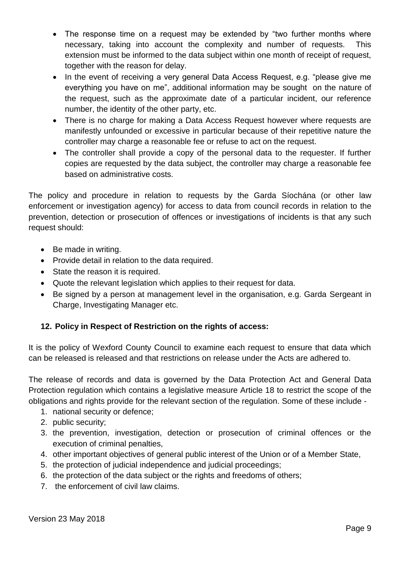- The response time on a request may be extended by "two further months where necessary, taking into account the complexity and number of requests. This extension must be informed to the data subject within one month of receipt of request, together with the reason for delay.
- In the event of receiving a very general Data Access Request, e.g. "please give me everything you have on me", additional information may be sought on the nature of the request, such as the approximate date of a particular incident, our reference number, the identity of the other party, etc.
- There is no charge for making a Data Access Request however where requests are manifestly unfounded or excessive in particular because of their repetitive nature the controller may charge a reasonable fee or refuse to act on the request.
- The controller shall provide a copy of the personal data to the requester. If further copies are requested by the data subject, the controller may charge a reasonable fee based on administrative costs.

The policy and procedure in relation to requests by the Garda Síochána (or other law enforcement or investigation agency) for access to data from council records in relation to the prevention, detection or prosecution of offences or investigations of incidents is that any such request should:

- Be made in writing.
- Provide detail in relation to the data required.
- State the reason it is required.
- Quote the relevant legislation which applies to their request for data.
- Be signed by a person at management level in the organisation, e.g. Garda Sergeant in Charge, Investigating Manager etc.

## **12. Policy in Respect of Restriction on the rights of access:**

It is the policy of Wexford County Council to examine each request to ensure that data which can be released is released and that restrictions on release under the Acts are adhered to.

The release of records and data is governed by the Data Protection Act and General Data Protection regulation which contains a legislative measure Article 18 to restrict the scope of the obligations and rights provide for the relevant section of the regulation. Some of these include -

- 1. national security or defence;
- 2. public security;
- 3. the prevention, investigation, detection or prosecution of criminal offences or the execution of criminal penalties,
- 4. other important objectives of general public interest of the Union or of a Member State,
- 5. the protection of judicial independence and judicial proceedings;
- 6. the protection of the data subject or the rights and freedoms of others;
- 7. the enforcement of civil law claims.